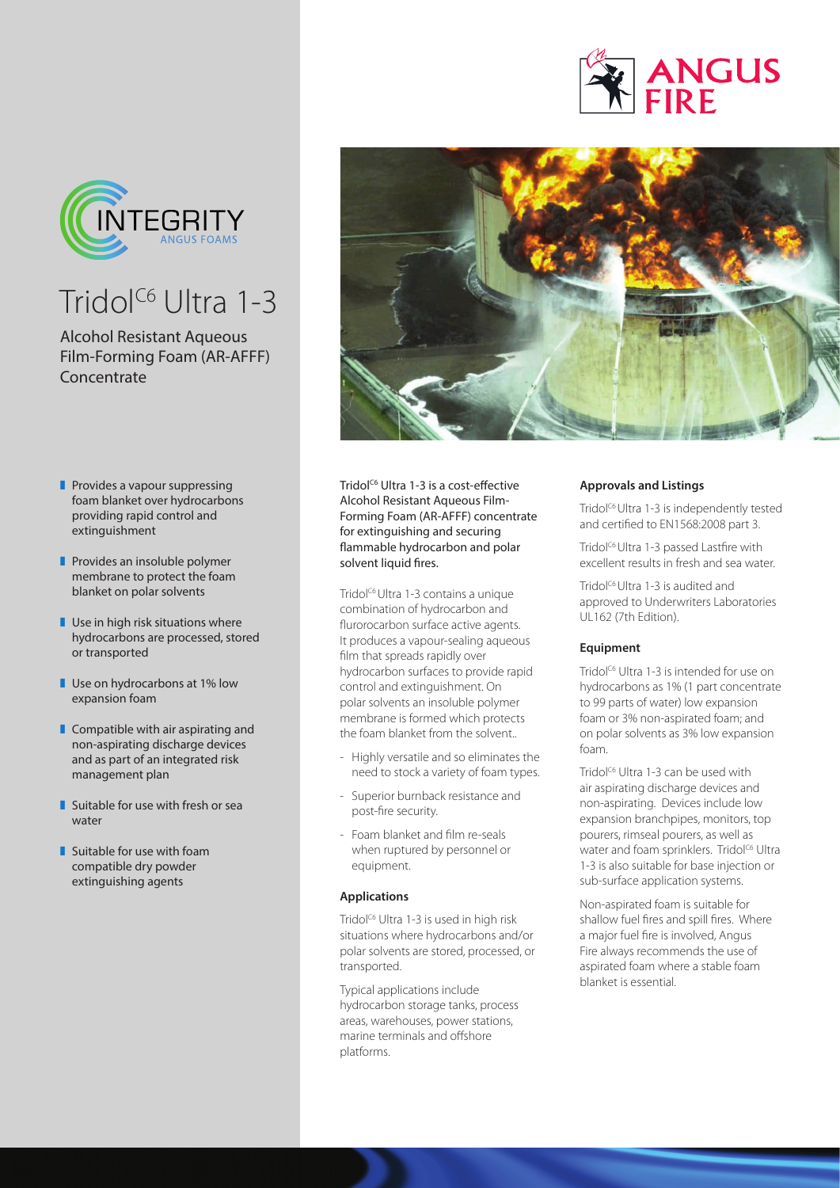



## $Tridol<sup>C6</sup>$  Ultra 1-3

## Alcohol Resistant Aqueous Film-Forming Foam (AR-AFFF) **Concentrate**

- $\blacksquare$  Provides a vapour suppressing foam blanket over hydrocarbons providing rapid control and extinguishment
- $\blacksquare$  Provides an insoluble polymer membrane to protect the foam blanket on polar solvents
- $\blacksquare$  Use in high risk situations where hydrocarbons are processed, stored or transported
- $\blacksquare$  Use on hydrocarbons at 1% low expansion foam
- $\blacksquare$  Compatible with air aspirating and non-aspirating discharge devices and as part of an integrated risk management plan
- $\blacksquare$  Suitable for use with fresh or sea water
- $\blacksquare$  Suitable for use with foam compatible dry powder extinguishing agents



Tridol<sup>c6</sup> Ultra 1-3 is a cost-effective Alcohol Resistant Aqueous Film-Forming Foam (AR-AFFF) concentrate for extinguishing and securing flammable hydrocarbon and polar solvent liquid fires.

Tridol<sup>c6</sup> Ultra 1-3 contains a unique combination of hydrocarbon and flurorocarbon surface active agents. It produces a vapour-sealing aqueous film that spreads rapidly over hydrocarbon surfaces to provide rapid control and extinguishment. On polar solvents an insoluble polymer membrane is formed which protects the foam blanket from the solvent..

- Highly versatile and so eliminates the need to stock a variety of foam types.
- Superior burnback resistance and post-fire security.
- Foam blanket and film re-seals when ruptured by personnel or equipment.

## **Applications**

Tridol<sup>c6</sup> Ultra 1-3 is used in high risk situations where hydrocarbons and/or polar solvents are stored, processed, or transported.

Typical applications include hydrocarbon storage tanks, process areas, warehouses, power stations, marine terminals and offshore platforms.

## **Approvals and Listings**

Tridol<sup>c6</sup> Ultra 1-3 is independently tested and certified to EN1568:2008 part 3.

Tridol<sup>c6</sup> Ultra 1-3 passed Lastfire with excellent results in fresh and sea water.

Tridol<sup>c6</sup> Ultra 1-3 is audited and approved to Underwriters Laboratories UL162 (7th Edition).

### **Equipment**

Tridol<sup>c6</sup> Ultra 1-3 is intended for use on hydrocarbons as 1% (1 part concentrate to 99 parts of water) low expansion foam or 3% non-aspirated foam; and on polar solvents as 3% low expansion foam.

Tridol<sup>c6</sup> Ultra 1-3 can be used with air aspirating discharge devices and non-aspirating. Devices include low expansion branchpipes, monitors, top pourers, rimseal pourers, as well as water and foam sprinklers. Tridol<sup>c6</sup> Ultra 1-3 is also suitable for base injection or sub-surface application systems.

Non-aspirated foam is suitable for shallow fuel fires and spill fires. Where a major fuel fire is involved, Angus Fire always recommends the use of aspirated foam where a stable foam blanket is essential.